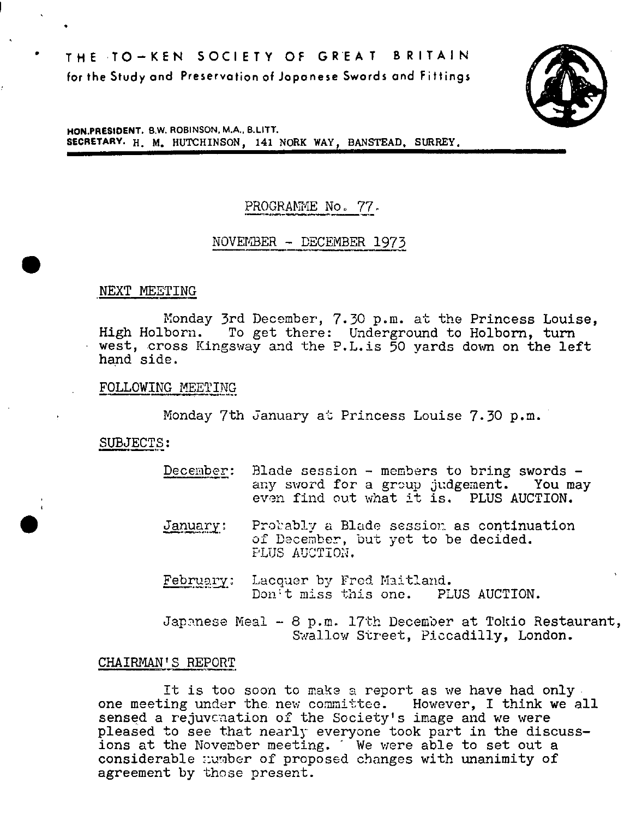**THE TO—KEN SOCIETY OF GREAT BRITAIN for the Study and Preservation of Japanese Swords and Fittings** 



**HON.PRESIDENT. S.W. ROBINSON.** MA., **B.LITT. SECRETARY. H. M. HUTCHINSON, 141 NORK WAY, BANSTEAD, SURREY.** 

# PROGRAMME No. 77.

# NOVEMBER - DECEMBER 1973

NEXT MEETING

.

Monday 3rd December, 7.30 p.m. at the Princess Louise, High Holborn. To get there: Underground to Holborn, turn west, cross Kingsway and the P.L.is 50 yards down on the left hand side.

FOLLOWING MEETING

Monday 7th January at Princess Louise 7.30 p.m.

SUBJECTS:

- December: Blade session members to bring swords any sword for a group judgement. You may even find out what it is. PLUS AUCTION.
- January: Probably a Blade session as continuation of December, but yet to be decided. PLUS AUCTION.
- February: Lacquer by Fred Maitland. Don't miss this one. PLUS AUCTION.

Japanese Meal - 8 p.m. 17th December at Tokio Restaurant, Swallow Street, Piccadilly, London.

#### CHAIRMAN'S REPORT

It is too soon to make a report as we have had only. one meeting under the new committee. However, I think we all sensed a rejuvcnation of the Society's image and we were pleased to see that nearly everyone took part in the discussions at the November meeting. We were able to set out a considerable number of proposed changes with unanimity of agreement by those present.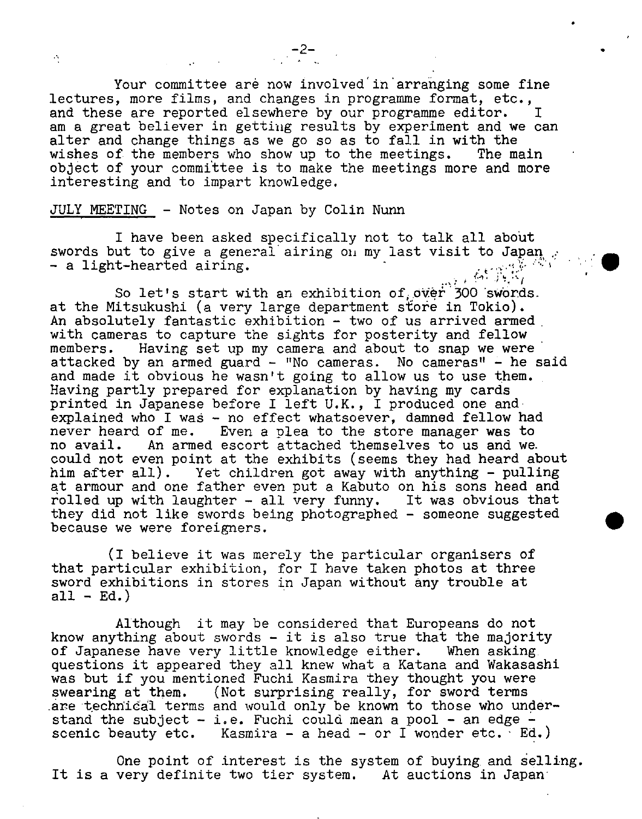Your committee are now involved in arranging some fine lectures, more films, and changes in programme format, etc., and these are reported elsewhere by our programme editor. I am a great believer in getting results by experiment and we can alter and change things as we go so as to fall in with the wishes of the members who show up to the meetings. The main object of your committee is to make the meetings more and more interesting and to impart knowledge.

 $-2-$ 

#### JULY MEETING - Notes on Japan by Colin Nunn

 $\mathcal{O}$ 

I have been asked specifically not to talk all about swords but to give a general airing on my last visit to Japan  $\beta$ - a light-hearted airing.

So let's start with an exhibition of over 300 swords. at the Mitsukushi (a very large department store in Tokio). An absolutely fantastic exhibition - two of us arrived armed. with cameras to capture the sights for posterity and fellow members. Having set up my camera and about to snap we were attacked by an armed guard - "No cameras. No cameras" - he said and made it obvious he wasn't going to allow us to use them. Having partly prepared for explanation by having my cards printed in Japanese before I left U.K., I produced one andexplained who I was - no effect whatsoever, damned fellow had never heard of me. Even a plea to the store manager was to Even a plea to the store manager was to no avail. An armed escort attached themselves to us and we. could not even point at the exhibits (seems they had heard about<br>him after all). Yet children got away with anything - pulling Yet children got away with anything - pulling at armour and one father even put a Kabuto on his sons head and rolled up with laughter - all very funny. It was obvious that they did not like swords being photographed - someone suggested because we were foreigners.

(I believe it was merely the particular organisers of that particular exhibition, for I have taken photos at three sword exhibitions in stores in Japan without any trouble at  $all - Ed.$ 

Although it may be considered that Europeans do not know anything about swords - it is also true that the majority<br>of Japanese have very little knowledge either. When asking of Japanese have very little knowledge either. questions it appeared they all knew what a Katana and Wakasashi was but if you mentioned Fuchi Kasmira they thought you were swearing at them. (Not surprising really, for sword terms are technical terms and would only be known to those who understand the subject - i.e. Fuchi could mean a pool - an edge scenic beauty etc. Kasmira  $-$  a head  $-$  or I wonder etc.  $Ed.$ )

One point of interest is the system of buying. and selling. It is a very definite two tier system. At auctions in Japan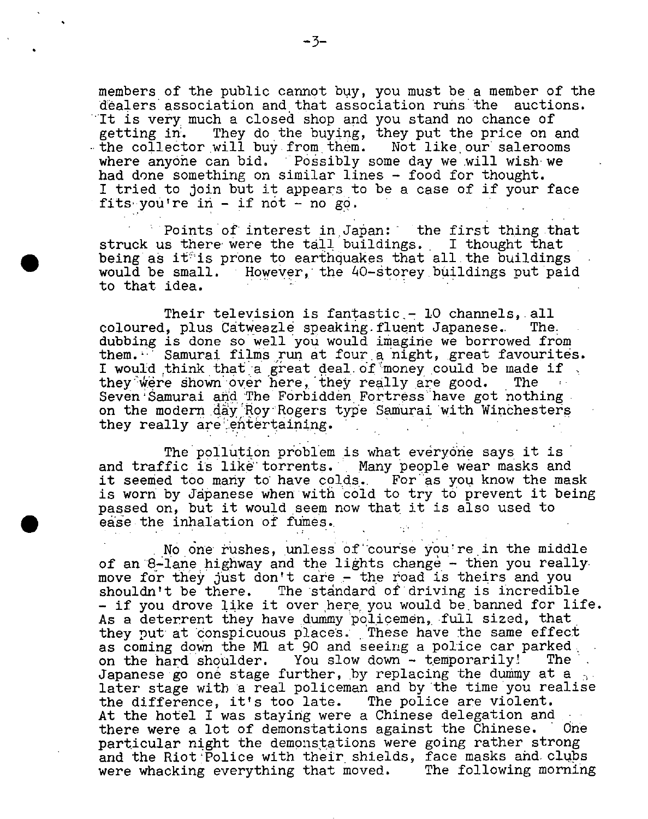members of the public cannot buy, you must be a member of the dealers' association and that association runs the auctions. It is very much a closed shop and you stand no chance of getting in. They do the buying, they put the price on and the collector will buy from them. Not like our salerooms where anyone can bid. Possibly some day we will wish we had done something on similar lines - food for thought. I tried to join but it appears to be a case of if your face fits you're in  $-$  if not  $-$  no go.

Points of interest in Japan: the first thing that struck us there were the tall buildings. I thought that being as it<sup>s</sup> is prone to earthquakes that all the buildings would be small. However, the 40-storey buildings put paid to that idea.

Their television is fantastic - 10 channels, all<br>. plus Catweazle speaking fluent Japanese. The coloured, plus Catweazle speaking.fluent Japanese. dubbing is done so well you would imagine we borrowed from them.<sup>17</sup> Samurai films run at four a night, great favourités. I would think that a great deal of money could be made if  $\Box$ . they really are good. The they were shown over here, they really are good. Seven Samurai and The Forbidden Fortress have got nothing on the modern day Roy Rogers type Samurai with Winchesters they really are entertaining.

The pollution problem is what everyone says it is and traffic is like torrents. Many people wear masks and it seemed too many to have colds. For as you know the mask is worn by Japanese when with cold to try to prevent it being passed on, but it would seem now that it is also used to ease the inhalation of fumes.

 $\bullet$ 

No one rushes, unless of course you re in the middle of an 8-lane highway and the lights change - then you really . move for they just don't care - the road is theirs and you shouldn't be there. The standard of driving is incredible - if you drove like it over here you would be banned for life. As a deterrent they have dummy policemen, full sized, that they put at conspicuous places. These have the same effect as coming down the M1 at 90 and seeing a police car parked.<br>on the hard shoulder. You slow down - temporarily! The on the hard shoulder. You slow down - temporarily! Japanese go one stage further, by replacing the dummy at a later stage with a real policeman and by the time you realise the difference, it's too late. The police are violent. At the hotel I was staying were a Chinese delegation and there were a lot of demonstations against the Chinese. ' One particular night the demonstations were going rather strong and the Riot Police with their shields, face masks and clubs were whacking everything that moved. The following morning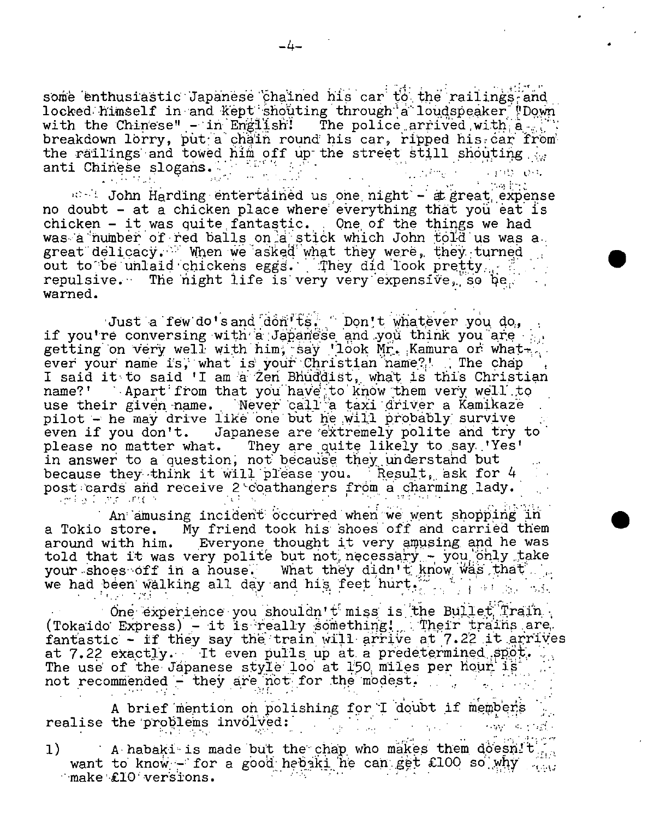some enthusiastic Japanese chained his car to the railings-and locked himself in and kept shouting through a loudspeaker 'Down' with the Chinese" - in English' The police arrived with  $a =$ breakdown lorry, put a chain round his car, ripped his car from the railings and towed him off up the street still shouting  $\frac{1}{2}$ the railings and towed the same of the contract of the contract of the contract of the contract of the contract of the contract of the contract of the contract of the contract of the contract of the contract of the contrac

 $m+1$  John Harding entertained us one night - at great expense no doubt - at a chicken place where everything that you eat is chicken  $-$  it was quite fantastic. One of the things we had was a number of red balls on a stick which John told us was a. great delicacy. When we asked what they were, they turned out to be unlaid chickens eggs. They did look pretty. repulsive. The night life is very very expensive, so be. warned.

Just a few do'sand don'€s Don't whatever you do, if you're conversing with a Japanëse and you think you are getting on very well with him, say 'look Mr. Kamura or whatever your name is, what is your Christian name?! . The chap I said it to said 'I am a Zen Bhuddist, what is this Christian name?' Apart from that you have to know them very well to use their given name. Mever call a taxi driver a Kamikaze pilot - he may drive like one but he will probably survive even if you don't. Japanese are extremely polite and try to please no matter what. They are quite likely to say 'Yes' in answer to a question, not because they understand but because they think it will please you. Result, ask for 4 post cards and receive 2 coathangers from a charming lady.

An amusing incident occurred when we went shopping in a Tokio store. My friend took his shoes off and carried them around with him. Everyone thought it very amusing and he was told that it was very polite but not necessary - you only take your shoes off in a house. What they didn't know was that we had been walking all day and his feet hurt. 小小的 医刺激的 地名

One experience you shouldn't miss is the Bullet Train  $($ Tokaido Express) - it is really something! Their trains are fantastic - if they say the train will arrive at 7.22 it arrives at 7.22 exactly. It even pulls up at a predetermined spot. The use of the Japanese style loo at 150 miles per hour is not recommended - they are not for the modest.

A brief mention on polishing for I doubt if members  $\bf{real}$ ise the problems involved:  $\begin{array}{ccc} \hbox{ } & \hbox{ } & \hbox{ } & \hbox{ } & \hbox{ } & \hbox{ } & \hbox{ } & \hbox{ } & \hbox{ } & \hbox{ } & \hbox{ } & \hbox{ } & \hbox{ } & \hbox{ } & \hbox{ } & \hbox{ } & \hbox{ } & \hbox{ } & \hbox{ } & \hbox{ } & \hbox{ } \end{array}$ 

1) A habaki is made but the chap who makes them doesnit want to know - for a good hebaki he can get £100 so why make £10 versions.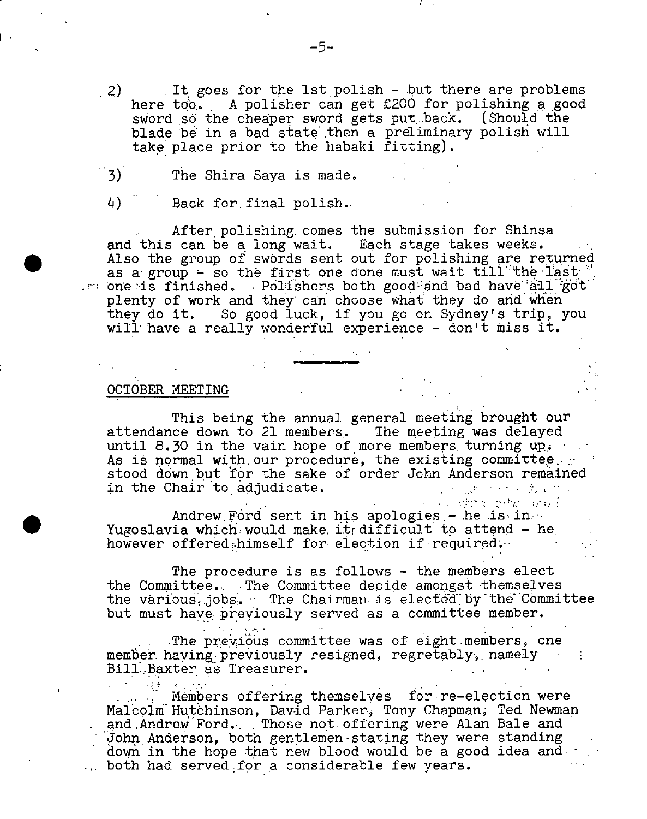- 2) It goes for the 1st polish but there are problems<br>here too. A polisher can get £200 for polishing a good A polisher can get  $£200$  for polishing a good sword so the cheaper sword gets put back. (Should the blade be in a bad state then a preliminary polish will take place prior to the habaki fitting).
- 3) The Shira Saya is made.
- 4) Back for final polish.

After polishing, comes the submission for Shinsa and this can be a long wait. Each stage takes weeks. Also the group of swords sent out for polishing are returned as a group - so the first one done must wait till the last one is finished. Polishers both good and bad have all got plenty of work and they can choose What they do and when they do it. So good luck, if you go on Sydney's trip, you will have a really wonderful experience - don't miss it.

### OCTOBER MEETING

(1948年)

 $\bullet$ 

This being the annual general meeting brought our attendance down to 21 members. The meeting was delayed until 8.30 in the vain hope of more members, turning  $up_{i}$ . As is normal with our procedure, the existing committee... stood down but for the sake of order John Anderson remained in the Chair to adjudicate. アール・コール とうかん あんせいたい

Andrew Ford sent in his apologies - he is in Yugoslavia which would make it difficult to attend - he however offered himself for election if required.

The procedure is as follows - the members elect the Committee... The Committee decide amongst themselves the various, jobs. The Chairman is elected by the Committee but must have previously served as a committee member.

 $\mathbb{R}$   $\mathbb{R}$ The previous committee was of eight members, one member having previously resigned, regretably, namely Bill Baxter as Treasurer.

**Members offering themselves for re-election were** Malcolm Hutchinson, David Parker, Tony Chapman, Ted Newman and Andrew Ford... Those not. offering were Alan Bale and John Anderson, both gentlemen-stating they were standing down in the hope that new blood would be a good idea and. - ... both had served for a considerable few years.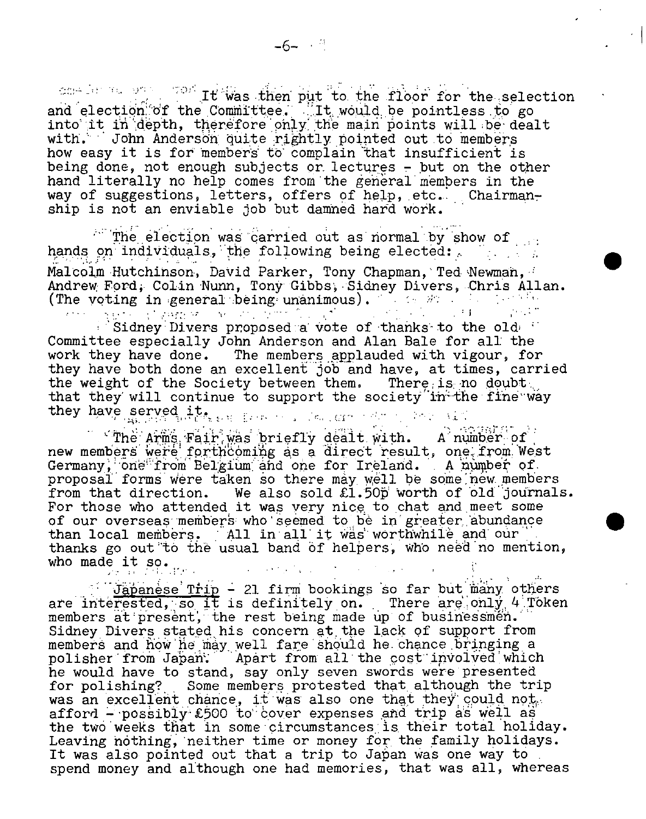one is we was it was then put to the floor for the selection and election of the Committee. It would be pointless to go into it in depth, therefore only the main points will be dealt with. John Anderson quite rightly pointed out to members how easy it is for members to complain that insufficient is being done, not enough subjects or lectures - but on the other hand literally no help comes from the general members in the way of suggestions, letters, offers of help, etc... Chairmanship is not an enviable job but damned hard work.

The election was carried out as normal by show of hands on individuals, the following being elected: Malcolm Hutchinson, David Parker, Tony Chapman, Ted Newman, 1 Andrew Ford. Colin Nunn, Tony Gibbs, Sidney Divers, Chris Allan. (The voting in general being unanimous). The set of the letter of the set of the set of the set of the set of the set of the set of the set of the set of the set of the set of the set of the set of the set of the set of th

 $\mathbb{R}^3$  Sidney Divers proposed a vote of thanks to the old  $\mathbb{R}^3$ Committee especially John Anderson and Alan Bale for all the work they have done. The members applauded with vigour, for they have both done an excellent job and have, at times, carried the weight of the Society between them. There is no doubt. that they will continue to support the society in the fine way they have served it, we have ,

The Arms Fair was briefly dealt with. A number of new members were forthcoming as a direct result, one from West Germany, one from Belgium and one for Ireland. A number of proposal forms were taken so there may well be some new members from that direction. We also sold  $\pounds1.50p'$  worth of old journals. For those who attended it was very nice to chat and meet some of our overseas members who seemed to be in greater abundance than local members. All in all it was worthwhile and our thanks go out to the usual band of helpers, who need no mention, who made it so.  $\mathcal{L}^{\text{max}}$ 

Jäpanese Trip - 21 firm bookings so far but many others are interested, so it is definitely on. There are only 4 Token members at present, the rest being made up of businessmen. Sidney Divers stated his concern at the lack of support from members and how he may well fare should he chance bringing a polisher from Japan. Apart from all the cost involved which he would have to stand, say only seven swords were presented for polishing? .Some members protested that, although the trip was an excellent chance, it was also one that they could not. afford -  $\tt possiblyE500$  to cover expenses and trip as well as the two weeks that in some circumstances is their total holiday. Leaving nothing, neither time or money for the family holidays. It was also pointed out that a trip to Japan was one way to spend money and although one had memories, that was all, whereas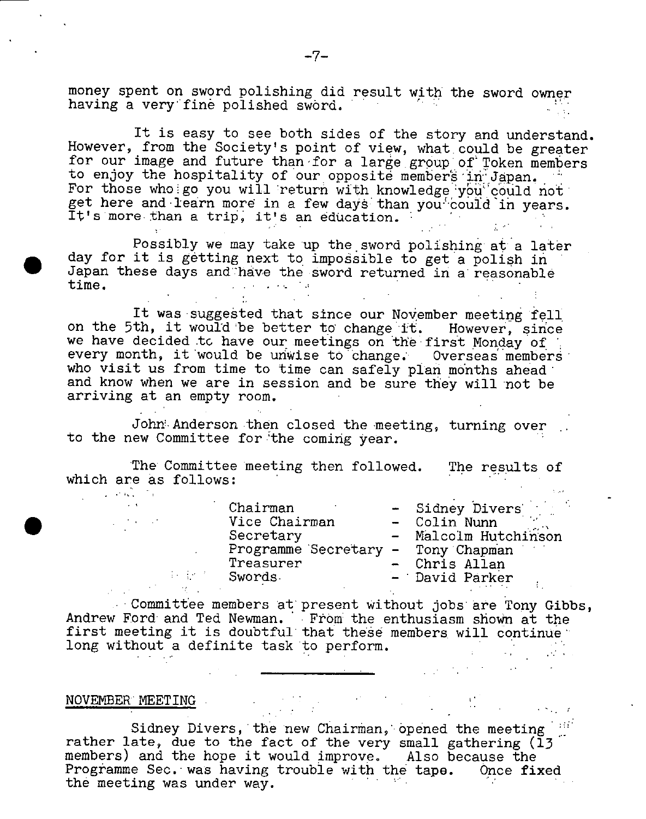money spent on sword polishing did result with the sword owner having a very fine polished sword.

It is easy to see both sides of the story and understand. However, from the Society's point of view, what could be greater for our image and future than for a large group of Token members to enjoy the hospitality of our opposite members in Japan. For those wholgo you will return with knowledge you could not. get here and learn more in a few days than you could in years. It's more than a trip, it's an education.

Possibly we may take up the sword polishing at a later day for it is getting next to impossible to get a polish in Japan these days and have the sword returned in a reasonable time. time. -

It was suggested that since our November meeting fell on the 5th, it would be better to change it. However, since we have decided to have our meetings on the first Monday of every month, it would be unwise to change. Overseas members who visit us from time to time can safely plan months ahead and know when we are in session and be sure they will not be arriving at an empty room.

John Anderson then closed the meeting, turning over to the new Committee for the coming year.

The Committee meeting then followed. The results of which are as follows:

- Sidney Divers rman - Colin<sup>Nunn</sup> - Malcolm Hutchinson Secretary - Tony Chapman reasurer - Chris Allan Swords. - David Parker Chairman<br>
Vice Chairman<br>
Chairman Vice Chairman Secretary Programme

Committee members at present Without jobs are Tony Gibbs, Andrew Ford and Ted Newman. From the enthusiasm shown at the first meeting it is doubtful that these members will continue long without a definite task to perform.

# NOVEMBER MEETING

 $\mathcal{F}^{\mathcal{G}}_{\mathcal{G}}(x)$  ,  $\mathcal{G}^{\mathcal{G}}_{\mathcal{G}}(x)$  ,  $\mathcal{G}^{\mathcal{G}}_{\mathcal{G}}(x)$ 

Sidney Divers, the new Chairman, opened the meeting rather late, due to the fact of the very small gathering (13 members) and the hope it would improve. Also because the Programme Sec. was having trouble with the tape. Once fixed the meeting was under way.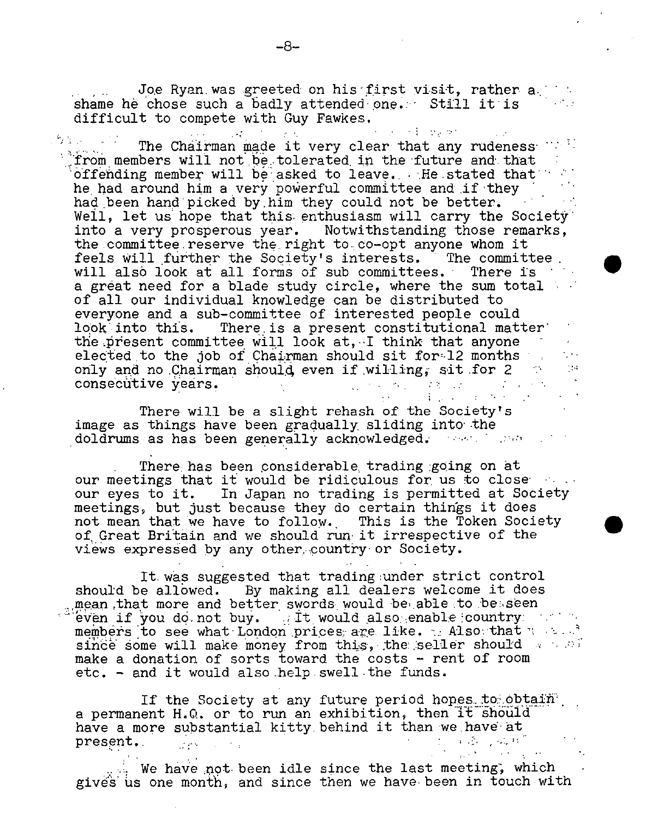Joe Ryan was greeted on his first visit, rather a. shame he chose such a badly attended one. Still it is difficult to compete with Guy Fawkes.

s el quel The Chairman made it very clear that any rudeness well. 'Jfrorn members will not be tolerated *in* the 'future and. that offending member will be asked to leave.  $\therefore$ He stated that he had around him a very powerful committee and if they had been hand picked by him they could not be better. Well, let us hope that this. enthusiasm will carry the Society' into a very prosperous year. Notwithstanding those remarks, the committee reserve the right to co-opt anyone whom it feels Will further the Society's interests. The committee will also look at all forms of sub committees. There is a great need for a blade study circle, where the sum total of all our individual knowledge can be distributed to everyone and a sub-committee of interested people could look into this. There is a present constitutional matter' the present committee will look at, I think that anyone elected to the job of Chairman should sit for  $12$  months only and no Chairman should even if willing; sit for  $2 \rightarrow$  consecutive years. 26 consecutive years.  $\mathcal{L}^{\mathcal{L}}(\mathcal{L}^{\mathcal{L}}(\mathcal{L}^{\mathcal{L}}(\mathcal{L}^{\mathcal{L}}(\mathcal{L}^{\mathcal{L}}(\mathcal{L}^{\mathcal{L}}(\mathcal{L}^{\mathcal{L}}(\mathcal{L}^{\mathcal{L}}(\mathcal{L}^{\mathcal{L}}(\mathcal{L}^{\mathcal{L}}(\mathcal{L}^{\mathcal{L}}(\mathcal{L}^{\mathcal{L}}(\mathcal{L}^{\mathcal{L}}(\mathcal{L}^{\mathcal{L}}(\mathcal{L}^{\mathcal{L}}(\mathcal{L}^{\mathcal{L}}(\mathcal{L}^{\mathcal{L$ 

There will be a slight rehash of the Society's image as things have been gradually, sliding into' the doldrums as has been generally acknowledged. . ..... ..... . ....

There, has been ,considerable. trading going on at our meetings that it would be ridiculous for us to close our eyes to it. In Japan no trading is permitted at Society meetings, but just because they do certain things it does not mean that we have to follow. This is the Token Society of, Great Britain and we should run it irrespective of the views expressed by any other country or Society.

 $\bullet$ 

 $\Gamma$  is a set of the set of  $\Gamma$  .

 $\chi_1 \in \mathcal{K}$ 

It. was suggested that trading under strict control should be allowed. By making all dealers welcome it does mean that more and better swords would be able to besseen even if you do.not buy.  $\Box$  it would also enable country . ... members to see what London prices are like. . Also that we are since some will make money from this, the seller should we all make a donation of sorts toward the costs - rent of room etc. - and it would also help swell the funds.

If the Society at any future period hopes to obtain. a permanent H.Q. or to run an exhibition, then it should have a more substantial kitty behind it than we have at present. present.

 $\mathbb{R}$ . We have not been idle since the last meeting, which gives us one month, and since then we have been in touch with

 $\mathcal{A}^{\text{max}}$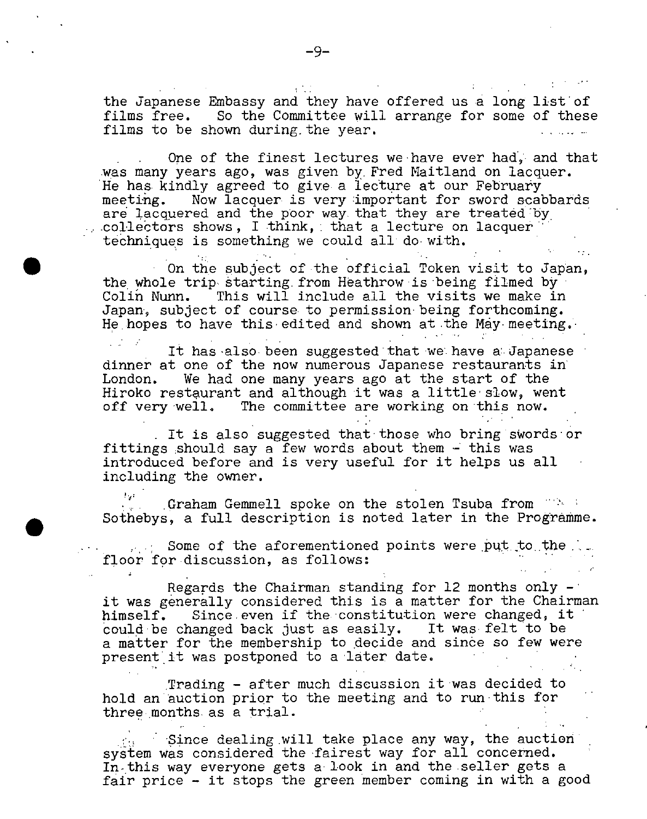the Japanese Embassy and they have offered us a long list of films free. So the Committee will arrange for some of these films to be shown during the year.

One of the finest lectures we have ever had, and that was many years ago, was given by. Fred Maitland on lacquer. He has kindly agreed to give a lecture at our February meeting. Now lacquer is very important for sword scabbards are lacquered and the poor way that they are treated by  $\text{collectors shows, I think, that a lecture on lacquer}'$ techniques is something we could all do- with.

• On the subject of the official Token visit to Japan, the whole trip starting.from Heathrow is being filmed by Colin Nunn. This will include all the visits we make in Japan, subject of course to permission being forthcoming. He hopes to have this edited and shown at the May meeting.

It has also been suggested that we have a Japanese dinner at one of the now numerous Japanese restaurants in London. We had one many years ago at the start of the Hiroko restaurant and although it was a little slow, went off very well. The committee are working on this now.

It is also suggested that-those who bring swords or fittings should say a few words about them  $-$  this was introduced before and is very useful for it helps us all including the owner.

Graham Gemmell spoke on the stolen Tsuba from  $\sim_{\mathbf{P}^{k-1}}$ Sothebys, a full description is noted later in the Programme.

- Some of the aforementioned points were put to the. floor for discussion, as follows:

 $\bullet$ 

Regards the Chairman standing for  $12$  months only it was generally considered this is a matter for the Chairman himself. Since even if the constitution were changed, it could be changed back just as easily. It was felt to be a matter for the membership to decide and since so few were present it was postponed to a later date.

Trading - after much discussion it was decided to hold an auction prior to the meeting and to run-this for three months as a trial.

- Since dealing will take place any way, the auction system was considered the fairest way for all concerned. In-this way everyone gets a-look in and the-seller gets a fair price - it stops the green member coming in with a good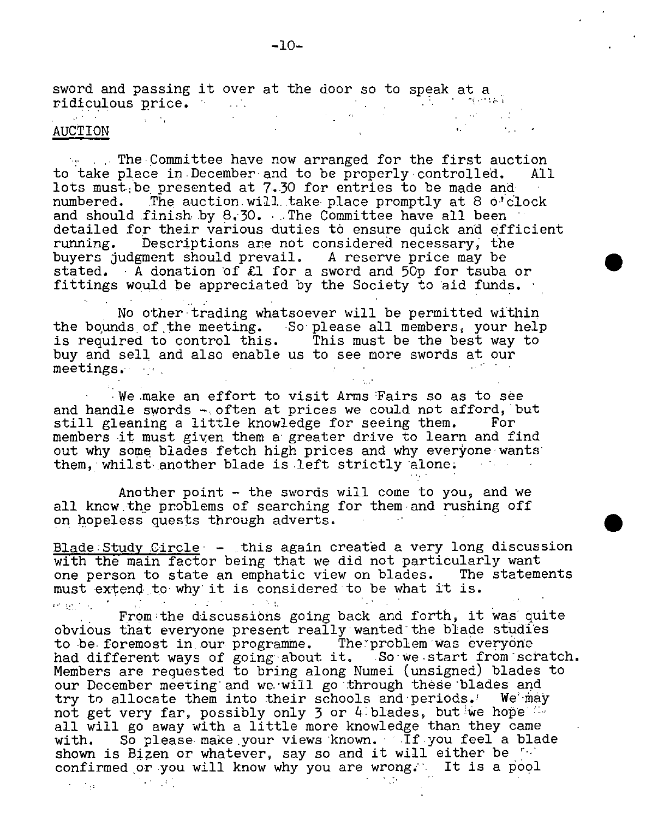sword and passing it over at the door so to speak at a ridiculous price.  $\sim 10^{11}$  km s  $^{-1}$ **Continue** . .: AUCTION

 $T_{\text{eff}}$  . The Committee have now arranged for the first auction to take place in December and to be properly controlled. All lots must. be presented at 7.30 for entries to be made and numbered. The auction will take place promptly at 8 o'cl The auction will take place promptly at 8 o'clock and should finish by 8.30. .. The Committee have all been detailed for their various duties to ensure quick and efficient running. Descriptions are not considered necessary; the buyers judgment should prevail. A reserve price may be stated. A donation of £1 for a sword and 50p for tsuba or fittings would be appreciated by the Society to aid funds.

No other trading whatsoever will be permitted within the bounds of the meeting. So please all members, your help is required to control this. This must be the best way to buy and sell, and also enable us to see more swords at our meetings.

We make an effort to visit Arms Fairs so as to see and handle swords  $-$  often at prices we could not afford, but still gleaning a little knowledge for seeing them. For members it must given them a greater drive to learn and find out why some blades fetch high prices and why everyone wants them, whilst another blade is left strictly alone.

Another point - the swords will come to you, and we all know the problems of searching for them and rushing off on hopeless quests through adverts.

Blade:Study Circle - this again created a very long discussion with the main factor being that we did not particularly want one person to state an emphatic view on blades. The statements must extend to why it is considered to be what it is.

From the discussions going back and forth, it was quite obvious that everyone present really wanted the blade studies to be foremost in our programme. The problem was everyone had different ways of going about it. So we start from scratch. Members are requested to bring along Numei (unsigned) blades to our December meeting and we will go through these blades and try to allocate them into their schools and periods. We may not get very far, possibly only  $3$  or 4 blades, but we hope all will go away with a little more knowledge than they came with. So please make your views known. If you feel a blade shown is Bizen or whatever, say so and it will either be confirmed or you will know why you are wrong. It is a pool

 $\mathcal{L} = \{ \mathcal{L}_{\text{eff}} \}$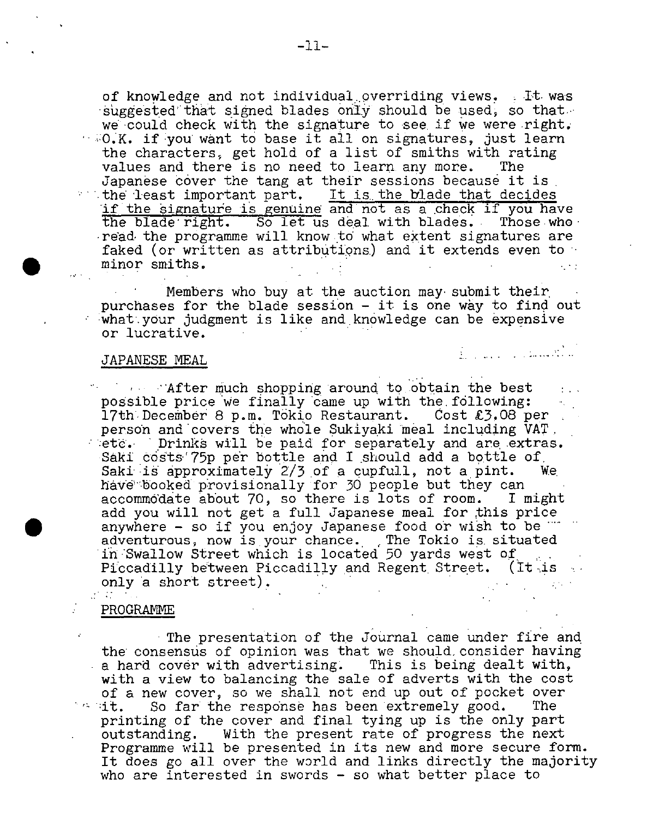of knowledge and not individual overriding views. It was suggested that signed blades only should be used, so that we could check with the signature to see if we were right.  $\sim$  0.K. if you want to base it all on signatures. just learn the characters, get hold of a list of smiths with rating values and there is no need to learn any more. The Japanese cover the tang at their sessions because it is  $\cdots$  the least important part. It is the blade that decides If the ëignature is genuine and not as a check if you have the blade right. So let us deal with blades.. Those.who' read the programme will know to what extent signatures are faked (or written as attributions) and it extends even to minor smiths.  $\sim$   $\sim$   $\sim$ 

Members who buy at the auction may submit their, purchases for the blade session - it is one way to find out what your judgment is like and knowledge can be expensive or lucrative.

# JAPANESE MEAL .

After much shopping around to.obtain the best possible price we finally came up with the following: 17th December 8 p.m. Tókio Restaurant. Cost £3.08 per person and covers the whole Sukiyqki meal including VAT. etc. Drinks will be paid for separately and are extras. Saki costs 75p per bottle and I should add a bottle of Saki is approximately  $2/3$  of a cupfull, not a pint. We have booked provisionally for 30 people but they can accommodate about 70, so there is lots of room. I might add you will not get a full Japanese meal for this price anywhere - so if you enjoy Japanese food or wish to be "" adventurous, now is your chance. The Tokio is situated in Swallow Street which is located 50 yards west of Piccadilly between Piccadilly and Regent Street. (It is a only a short street).

# PROGRAMME

The presentation of the Journal came under fire and the consensus of opinion was that we should, consider having a hard cover with advertising. This is being dealt with, with a view to balancing the sale of adverts with the cost of a new cover, so we shall not end up out of pocket over<br>it. So far the response has been extremely good. The So far the response has been extremely good. The printing of the cover and final tying up is the only part outstanding. With the present rate of progress the next Programme will be presented in its new and more secure form. It does go all over the world and links directly the majority who are interested in swords - so what better place to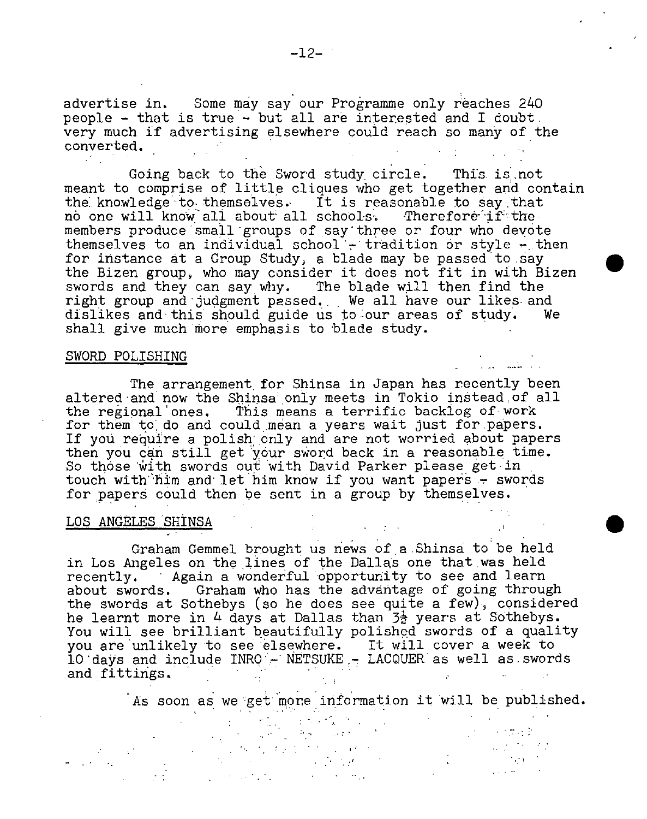advertise in. Some may say our Programme only reaches 240 people - that is true - but all are interested and I doubt. very much if advertising elsewhere could reach so many of the converted.

Going back to the Sword study circle. This is not meant to comprise of little cliques who get together and contain the knowledge to themselves. It is reasonable to say that no one will know all about all schools. Therefore if the members produce small groups of say'three or four who devote themselves to an individual school - tradition or style - then for instance at a Group Study, a blade may be passed to say the Bizen group, who may consider it does not fit in with Bizen swords and they can say why. The blade will then find the right group and judgment passed. We all have our likes and dislikes and this should guide us to our areas of study. We shall give much more emphasis to blade study.

#### SWORD POLISHING

The arrangement for Shinsa in Japan has recently been altered and now the Shinsa only meets in Tokio instead of all the regional'ones. This means a terrific backlog of work for them to do and could mean a years wait just for papers. If you require a polish only and are not worried about papers then you can still get your sword back in a reasonable time. So those with swords out with David Parker please get in touch with him and let him know if you want papers - swords for papers could then be sent in a group by themselves.

# LOS ANGELES SHINSA

Graham Gemmel brought us news of a.Shinsa to'be held in Los Angeles on the lines of the Dallas one that was held recently. ' Again a wonderful opportunity to see and learn about swords. Graham who has the advantage of going through the swords at Sothebys (so he does see quite a few), considered he learnt more in 4 days at Dallas than  $3\frac{1}{2}$  years at Sothebys. You will see brilliant beautifully polished swords of a quality you are unlikely to see elsewhere. It will cover a week to  $10$  days and include  $\texttt{INRQ} - \texttt{NETSUKE} - \texttt{LACQUER}$  as well as swords and fittings.

As soon as we'get more information it will be published.

. • <sup>I</sup> '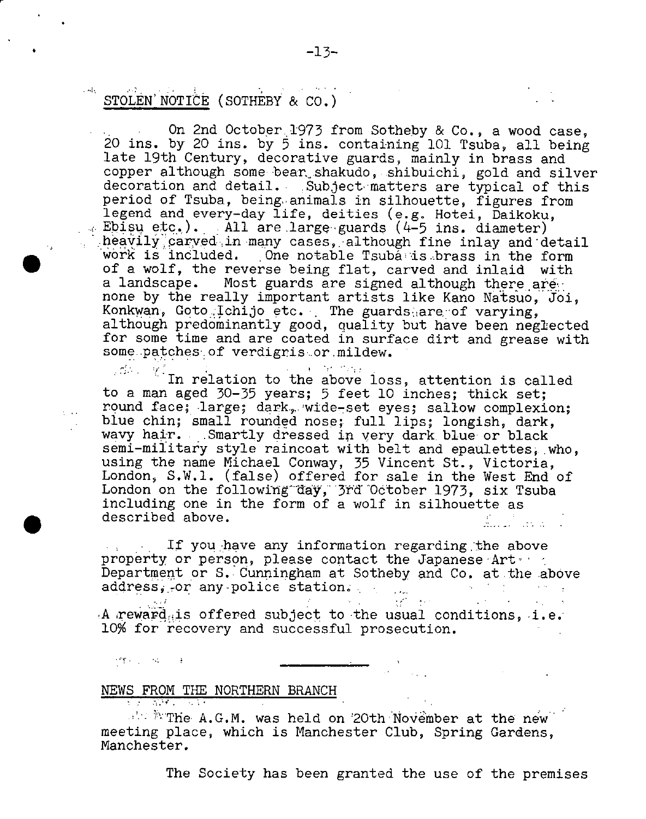#### $\mathcal{L}^{\text{max}}_{\text{max}}$  to  $\mathcal{L}^{\text{max}}_{\text{max}}$ and co STOLEN' NOTICE (SOTHEBY & CO.)

On 2nd October. 1973 from Sotheby & Co., a wood case, 20 ins, by 20 ins, by 5 ins, containing 101 Tsuba, all being late 19th Century, decorative guards, mainly in brass and copper although some bear shakudo, shibuichi, gold and silver decoration and detail. Subject matters are typical of this period of Tsuba, being. animals in silhouette, figures from legend and every-day life, deities (e.g. Hotei, Daikoku,  $\sim$  Ebisu etc.). • All are large guards (4-5 ins. diameter) : heavily carved in many cases, although fine inlay and detail work is included. One notable Tsubà is brass in the form of a wolf, the reverse being flat, carved and inlaid with a landscape. Most guards are signed although there are none by the really important artists like Kano Natsuo, Joi, Konkwan, Goto Ichijo etc. The guards are of varying, although predominantly good, quality but have been neglected for some time and are coated in surface dirt and grease with some.patches of verdigriser mildew.

 $\mathbb{R}^2$ .  $\mathbb{Z}^2$  In relation to the above loss, attention is called  $\mathbf{q} = \mathbf{q} \mathbf{q} + \mathbf{q} \mathbf{q}$  , to a man aged 30-35 years; 5 feet 10 inches; thick set; round face; large; dark, wide-set eyes; sallow complexion; blue chin; small rounded nose; full lips; longish, dark, wavy hair. Smartly dressed in very dark blue or black semi-military style raincoat with belt and epaulettes. who, using the name Michael Conway, 35 Vincent St., Victoria, London, S.W,l. (false) offered for sale in the West End of London on the following day, 3rd October 1973, six Tsuba including one in the form of a wolf in silhouette as described above.  $\frac{1}{21}$ 

If you have any information regarding the above property or person, please contact the Japanese Art ... Department or S. Cunningham at Sotheby and Co. at the above address, or any police station. address, or any police station.

A reward is offered subject to the usual conditions, i.e. 10% for recovery and successful prosecution.

NEWS FROM THE NORTHERN BRANCH

**produced** and the

 $\bullet$ 

 $T_{\text{max}}$  and  $T_{\text{max}}$  are new the new the new the new the new the new the new the new the new the new the new the new the new the new terms is the new terms of  $T_{\text{max}}$ meeting place, which is Manchester Club, Spring Gardens, Manchester.

The Society has been granted the use of the premises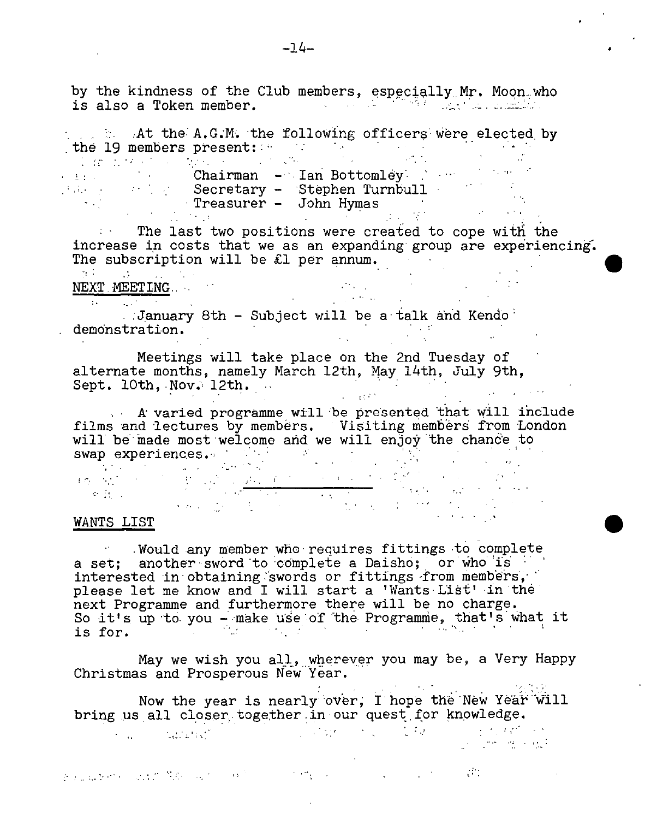by the kindness of the Club members, especially Mr. Moon who is also a Token member.

 $\cdot$  ,  $\cdot$  . At the A.G.M. the following officers were elected by the 19 members present::

Chairman - Ian Bottomley Secretary - Stephen Turnbull Treasurer - John Hymas

 $T<sub>1</sub>$ . The last two positions were created to cope with the increase in costs that we as an expanding group are experiencing. The subscription will be £1 per annum.

NEXT. MEETING. :January 8th - Subject will be a talk and Kendo demonstration.

Meetings will take place on the 2nd Tuesday of alternate months, namely March 12th, May 14th, July 9th, Sept. 10th, Nov. 12th.

 $\blacksquare$  A varied programme will be presented that will include films and lectures by members. Visiting members from London will be made most welcome and we will enjoy the chance to

swap experiences. ' He was a strong and we will enjoy and chance accuracy of the state of the state of the state of the state of the state of the state of the state of the state of the state of the state of the state of th

#### WANTS LIST

Would any member who requires fittings to complete a set; another-sword to complete a Daisho; or who is interested in obtaining swords or fittings from members, please let me know and I will start a 'Wants List' in the next Programme and furthermore there will be no charge. So it's up to you - make use of the Programme, that's what it<br>is for.

May we wish you all, wherever you may be, a Very Happy Christmas and Prosperous New Year.

Now the year is nearly over, I hope the New Year will bring us all closer together in our quest for knowledge.

a substance and to March and Constitution of the con-

 $\label{eq:2} \mathcal{L}_{\mathcal{A}} = \left\{ \begin{array}{ll} \mathcal{L}_{\mathcal{A}} & \mathcal{L}_{\mathcal{A}} & \mathcal{L}_{\mathcal{A}} \\ \mathcal{L}_{\mathcal{A}} & \mathcal{L}_{\mathcal{A}} & \mathcal{L}_{\mathcal{A}} \end{array} \right. \ ,$ 

**START START**